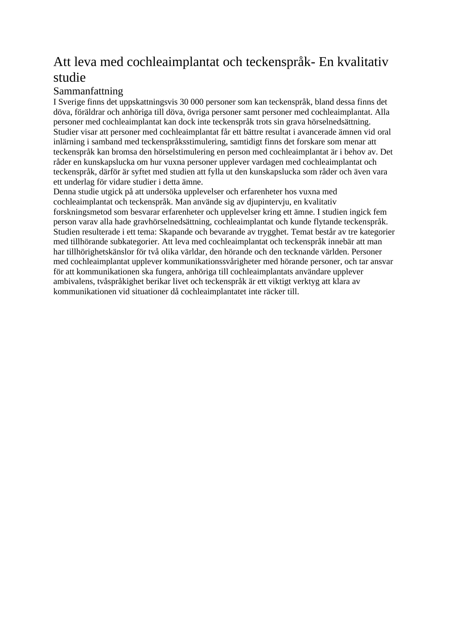# Att leva med cochleaimplantat och teckenspråk- En kvalitativ studie

#### Sammanfattning

I Sverige finns det uppskattningsvis 30 000 personer som kan teckenspråk, bland dessa finns det döva, föräldrar och anhöriga till döva, övriga personer samt personer med cochleaimplantat. Alla personer med cochleaimplantat kan dock inte teckenspråk trots sin grava hörselnedsättning. Studier visar att personer med cochleaimplantat får ett bättre resultat i avancerade ämnen vid oral inlärning i samband med teckenspråksstimulering, samtidigt finns det forskare som menar att teckenspråk kan bromsa den hörselstimulering en person med cochleaimplantat är i behov av. Det råder en kunskapslucka om hur vuxna personer upplever vardagen med cochleaimplantat och teckenspråk, därför är syftet med studien att fylla ut den kunskapslucka som råder och även vara ett underlag för vidare studier i detta ämne.

Denna studie utgick på att undersöka upplevelser och erfarenheter hos vuxna med cochleaimplantat och teckenspråk. Man använde sig av djupintervju, en kvalitativ forskningsmetod som besvarar erfarenheter och upplevelser kring ett ämne. I studien ingick fem person varav alla hade gravhörselnedsättning, cochleaimplantat och kunde flytande teckenspråk. Studien resulterade i ett tema: Skapande och bevarande av trygghet. Temat består av tre kategorier med tillhörande subkategorier. Att leva med cochleaimplantat och teckenspråk innebär att man har tillhörighetskänslor för två olika världar, den hörande och den tecknande världen. Personer med cochleaimplantat upplever kommunikationssvårigheter med hörande personer, och tar ansvar för att kommunikationen ska fungera, anhöriga till cochleaimplantats användare upplever ambivalens, tvåspråkighet berikar livet och teckenspråk är ett viktigt verktyg att klara av kommunikationen vid situationer då cochleaimplantatet inte räcker till.